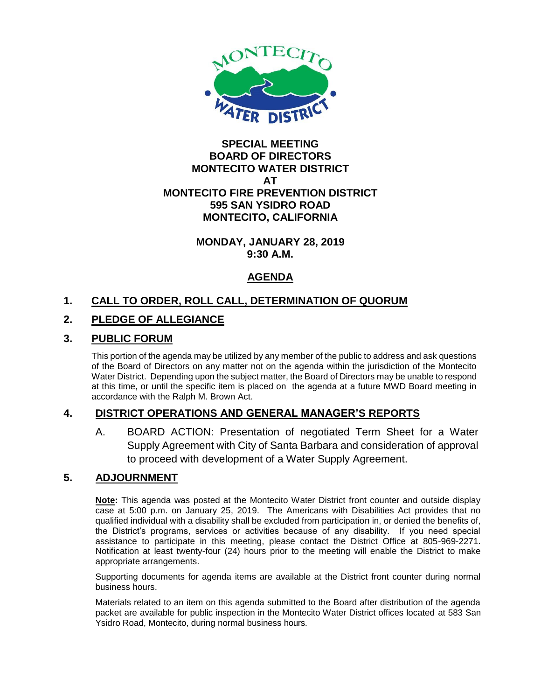

### **SPECIAL MEETING BOARD OF DIRECTORS MONTECITO WATER DISTRICT AT MONTECITO FIRE PREVENTION DISTRICT 595 SAN YSIDRO ROAD MONTECITO, CALIFORNIA**

#### **MONDAY, JANUARY 28, 2019 9:30 A.M.**

# **AGENDA**

# **1. CALL TO ORDER, ROLL CALL, DETERMINATION OF QUORUM**

# **2. PLEDGE OF ALLEGIANCE**

## **3. PUBLIC FORUM**

This portion of the agenda may be utilized by any member of the public to address and ask questions of the Board of Directors on any matter not on the agenda within the jurisdiction of the Montecito Water District. Depending upon the subject matter, the Board of Directors may be unable to respond at this time, or until the specific item is placed on the agenda at a future MWD Board meeting in accordance with the Ralph M. Brown Act.

## **4. DISTRICT OPERATIONS AND GENERAL MANAGER'S REPORTS**

A. BOARD ACTION: Presentation of negotiated Term Sheet for a Water Supply Agreement with City of Santa Barbara and consideration of approval to proceed with development of a Water Supply Agreement.

## **5. ADJOURNMENT**

**Note:** This agenda was posted at the Montecito Water District front counter and outside display case at 5:00 p.m. on January 25, 2019. The Americans with Disabilities Act provides that no qualified individual with a disability shall be excluded from participation in, or denied the benefits of, the District's programs, services or activities because of any disability. If you need special assistance to participate in this meeting, please contact the District Office at 805-969-2271. Notification at least twenty-four (24) hours prior to the meeting will enable the District to make appropriate arrangements.

Supporting documents for agenda items are available at the District front counter during normal business hours.

Materials related to an item on this agenda submitted to the Board after distribution of the agenda packet are available for public inspection in the Montecito Water District offices located at 583 San Ysidro Road, Montecito, during normal business hours.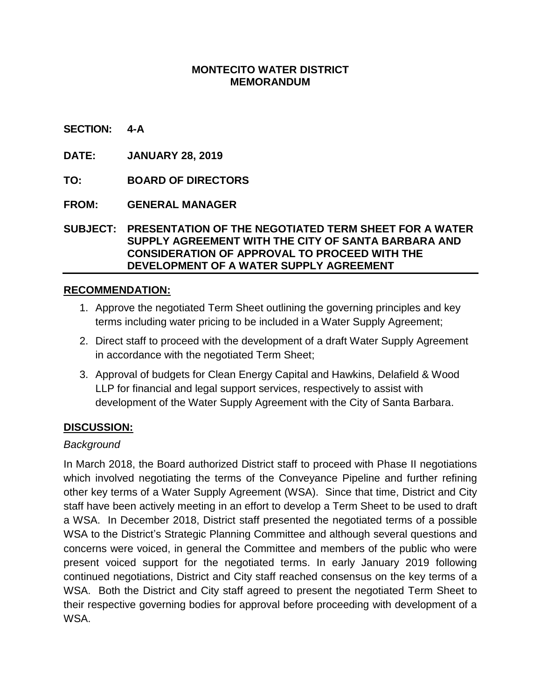### **MONTECITO WATER DISTRICT MEMORANDUM**

#### **SECTION: 4-A**

**DATE: JANUARY 28, 2019**

**TO: BOARD OF DIRECTORS**

**FROM: GENERAL MANAGER**

**SUBJECT: PRESENTATION OF THE NEGOTIATED TERM SHEET FOR A WATER SUPPLY AGREEMENT WITH THE CITY OF SANTA BARBARA AND CONSIDERATION OF APPROVAL TO PROCEED WITH THE DEVELOPMENT OF A WATER SUPPLY AGREEMENT**

### **RECOMMENDATION:**

- 1. Approve the negotiated Term Sheet outlining the governing principles and key terms including water pricing to be included in a Water Supply Agreement;
- 2. Direct staff to proceed with the development of a draft Water Supply Agreement in accordance with the negotiated Term Sheet;
- 3. Approval of budgets for Clean Energy Capital and Hawkins, Delafield & Wood LLP for financial and legal support services, respectively to assist with development of the Water Supply Agreement with the City of Santa Barbara.

### **DISCUSSION:**

#### *Background*

In March 2018, the Board authorized District staff to proceed with Phase II negotiations which involved negotiating the terms of the Conveyance Pipeline and further refining other key terms of a Water Supply Agreement (WSA). Since that time, District and City staff have been actively meeting in an effort to develop a Term Sheet to be used to draft a WSA. In December 2018, District staff presented the negotiated terms of a possible WSA to the District's Strategic Planning Committee and although several questions and concerns were voiced, in general the Committee and members of the public who were present voiced support for the negotiated terms. In early January 2019 following continued negotiations, District and City staff reached consensus on the key terms of a WSA. Both the District and City staff agreed to present the negotiated Term Sheet to their respective governing bodies for approval before proceeding with development of a WSA.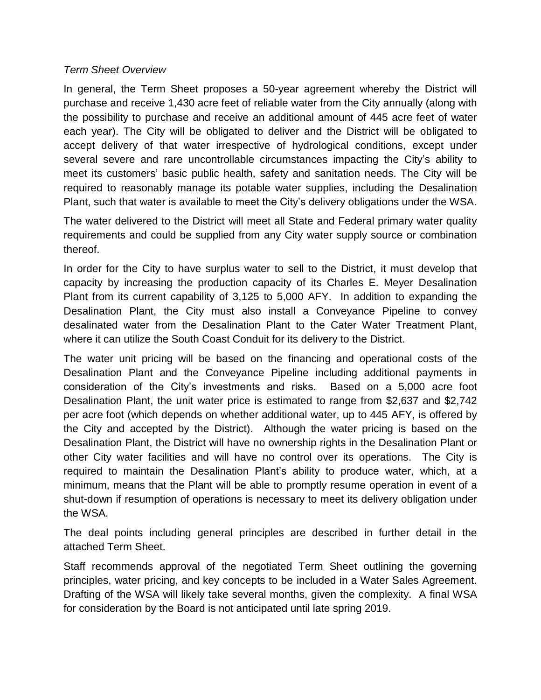### *Term Sheet Overview*

In general, the Term Sheet proposes a 50-year agreement whereby the District will purchase and receive 1,430 acre feet of reliable water from the City annually (along with the possibility to purchase and receive an additional amount of 445 acre feet of water each year). The City will be obligated to deliver and the District will be obligated to accept delivery of that water irrespective of hydrological conditions, except under several severe and rare uncontrollable circumstances impacting the City's ability to meet its customers' basic public health, safety and sanitation needs. The City will be required to reasonably manage its potable water supplies, including the Desalination Plant, such that water is available to meet the City's delivery obligations under the WSA.

The water delivered to the District will meet all State and Federal primary water quality requirements and could be supplied from any City water supply source or combination thereof.

In order for the City to have surplus water to sell to the District, it must develop that capacity by increasing the production capacity of its Charles E. Meyer Desalination Plant from its current capability of 3,125 to 5,000 AFY. In addition to expanding the Desalination Plant, the City must also install a Conveyance Pipeline to convey desalinated water from the Desalination Plant to the Cater Water Treatment Plant, where it can utilize the South Coast Conduit for its delivery to the District.

The water unit pricing will be based on the financing and operational costs of the Desalination Plant and the Conveyance Pipeline including additional payments in consideration of the City's investments and risks. Based on a 5,000 acre foot Desalination Plant, the unit water price is estimated to range from \$2,637 and \$2,742 per acre foot (which depends on whether additional water, up to 445 AFY, is offered by the City and accepted by the District). Although the water pricing is based on the Desalination Plant, the District will have no ownership rights in the Desalination Plant or other City water facilities and will have no control over its operations. The City is required to maintain the Desalination Plant's ability to produce water, which, at a minimum, means that the Plant will be able to promptly resume operation in event of a shut-down if resumption of operations is necessary to meet its delivery obligation under the WSA.

The deal points including general principles are described in further detail in the attached Term Sheet.

Staff recommends approval of the negotiated Term Sheet outlining the governing principles, water pricing, and key concepts to be included in a Water Sales Agreement. Drafting of the WSA will likely take several months, given the complexity. A final WSA for consideration by the Board is not anticipated until late spring 2019.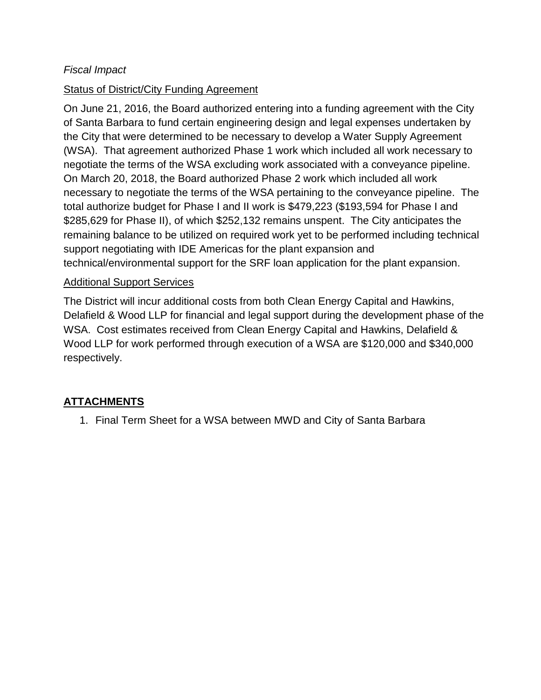## *Fiscal Impact*

## Status of District/City Funding Agreement

On June 21, 2016, the Board authorized entering into a funding agreement with the City of Santa Barbara to fund certain engineering design and legal expenses undertaken by the City that were determined to be necessary to develop a Water Supply Agreement (WSA). That agreement authorized Phase 1 work which included all work necessary to negotiate the terms of the WSA excluding work associated with a conveyance pipeline. On March 20, 2018, the Board authorized Phase 2 work which included all work necessary to negotiate the terms of the WSA pertaining to the conveyance pipeline. The total authorize budget for Phase I and II work is \$479,223 (\$193,594 for Phase I and \$285,629 for Phase II), of which \$252,132 remains unspent. The City anticipates the remaining balance to be utilized on required work yet to be performed including technical support negotiating with IDE Americas for the plant expansion and technical/environmental support for the SRF loan application for the plant expansion.

### Additional Support Services

The District will incur additional costs from both Clean Energy Capital and Hawkins, Delafield & Wood LLP for financial and legal support during the development phase of the WSA. Cost estimates received from Clean Energy Capital and Hawkins, Delafield & Wood LLP for work performed through execution of a WSA are \$120,000 and \$340,000 respectively.

# **ATTACHMENTS**

1. Final Term Sheet for a WSA between MWD and City of Santa Barbara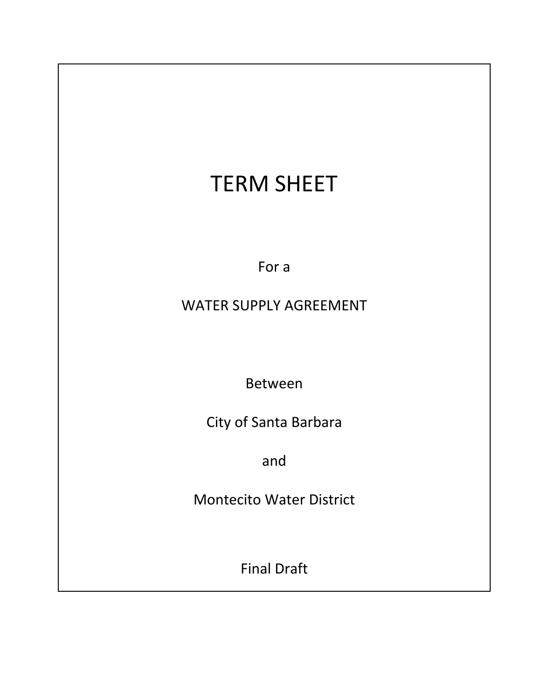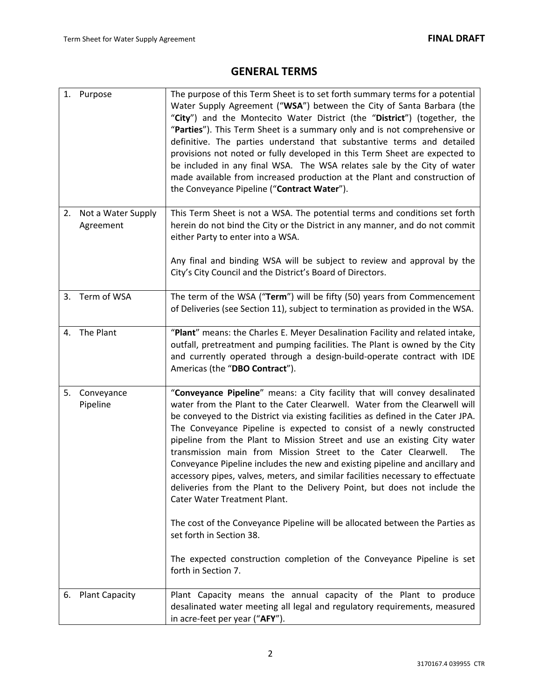# **GENERAL TERMS**

|    | 1. Purpose                      | The purpose of this Term Sheet is to set forth summary terms for a potential<br>Water Supply Agreement ("WSA") between the City of Santa Barbara (the<br>"City") and the Montecito Water District (the "District") (together, the<br>"Parties"). This Term Sheet is a summary only and is not comprehensive or<br>definitive. The parties understand that substantive terms and detailed<br>provisions not noted or fully developed in this Term Sheet are expected to<br>be included in any final WSA. The WSA relates sale by the City of water<br>made available from increased production at the Plant and construction of<br>the Conveyance Pipeline ("Contract Water").                                                                                                                                                                                               |
|----|---------------------------------|-----------------------------------------------------------------------------------------------------------------------------------------------------------------------------------------------------------------------------------------------------------------------------------------------------------------------------------------------------------------------------------------------------------------------------------------------------------------------------------------------------------------------------------------------------------------------------------------------------------------------------------------------------------------------------------------------------------------------------------------------------------------------------------------------------------------------------------------------------------------------------|
| 2. | Not a Water Supply<br>Agreement | This Term Sheet is not a WSA. The potential terms and conditions set forth<br>herein do not bind the City or the District in any manner, and do not commit<br>either Party to enter into a WSA.                                                                                                                                                                                                                                                                                                                                                                                                                                                                                                                                                                                                                                                                             |
|    |                                 | Any final and binding WSA will be subject to review and approval by the<br>City's City Council and the District's Board of Directors.                                                                                                                                                                                                                                                                                                                                                                                                                                                                                                                                                                                                                                                                                                                                       |
|    | 3. Term of WSA                  | The term of the WSA ("Term") will be fifty (50) years from Commencement<br>of Deliveries (see Section 11), subject to termination as provided in the WSA.                                                                                                                                                                                                                                                                                                                                                                                                                                                                                                                                                                                                                                                                                                                   |
| 4. | The Plant                       | "Plant" means: the Charles E. Meyer Desalination Facility and related intake,<br>outfall, pretreatment and pumping facilities. The Plant is owned by the City<br>and currently operated through a design-build-operate contract with IDE<br>Americas (the "DBO Contract").                                                                                                                                                                                                                                                                                                                                                                                                                                                                                                                                                                                                  |
| 5. | Conveyance<br>Pipeline          | "Conveyance Pipeline" means: a City facility that will convey desalinated<br>water from the Plant to the Cater Clearwell. Water from the Clearwell will<br>be conveyed to the District via existing facilities as defined in the Cater JPA.<br>The Conveyance Pipeline is expected to consist of a newly constructed<br>pipeline from the Plant to Mission Street and use an existing City water<br>transmission main from Mission Street to the Cater Clearwell.<br>The<br>Conveyance Pipeline includes the new and existing pipeline and ancillary and<br>accessory pipes, valves, meters, and similar facilities necessary to effectuate<br>deliveries from the Plant to the Delivery Point, but does not include the<br><b>Cater Water Treatment Plant.</b><br>The cost of the Conveyance Pipeline will be allocated between the Parties as<br>set forth in Section 38. |
|    |                                 | The expected construction completion of the Conveyance Pipeline is set<br>forth in Section 7.                                                                                                                                                                                                                                                                                                                                                                                                                                                                                                                                                                                                                                                                                                                                                                               |
| 6. | <b>Plant Capacity</b>           | Plant Capacity means the annual capacity of the Plant to produce<br>desalinated water meeting all legal and regulatory requirements, measured<br>in acre-feet per year ("AFY").                                                                                                                                                                                                                                                                                                                                                                                                                                                                                                                                                                                                                                                                                             |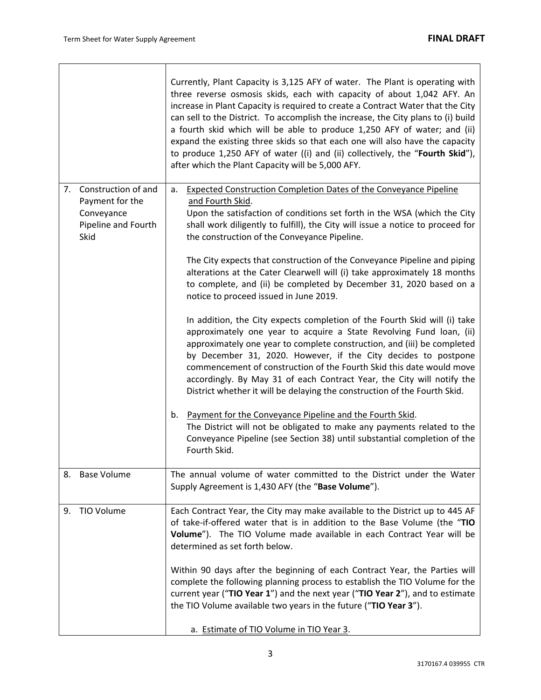|                                                                                           | Currently, Plant Capacity is 3,125 AFY of water. The Plant is operating with<br>three reverse osmosis skids, each with capacity of about 1,042 AFY. An<br>increase in Plant Capacity is required to create a Contract Water that the City<br>can sell to the District. To accomplish the increase, the City plans to (i) build<br>a fourth skid which will be able to produce 1,250 AFY of water; and (ii)<br>expand the existing three skids so that each one will also have the capacity<br>to produce 1,250 AFY of water ((i) and (ii) collectively, the "Fourth Skid"),<br>after which the Plant Capacity will be 5,000 AFY.                                                                                                                                                                                                                                                                                                                                                                                                                                                                                                                                                                                                                                                                                                                                 |
|-------------------------------------------------------------------------------------------|------------------------------------------------------------------------------------------------------------------------------------------------------------------------------------------------------------------------------------------------------------------------------------------------------------------------------------------------------------------------------------------------------------------------------------------------------------------------------------------------------------------------------------------------------------------------------------------------------------------------------------------------------------------------------------------------------------------------------------------------------------------------------------------------------------------------------------------------------------------------------------------------------------------------------------------------------------------------------------------------------------------------------------------------------------------------------------------------------------------------------------------------------------------------------------------------------------------------------------------------------------------------------------------------------------------------------------------------------------------|
| Construction of and<br>7.<br>Payment for the<br>Conveyance<br>Pipeline and Fourth<br>Skid | <b>Expected Construction Completion Dates of the Conveyance Pipeline</b><br>а.<br>and Fourth Skid.<br>Upon the satisfaction of conditions set forth in the WSA (which the City<br>shall work diligently to fulfill), the City will issue a notice to proceed for<br>the construction of the Conveyance Pipeline.<br>The City expects that construction of the Conveyance Pipeline and piping<br>alterations at the Cater Clearwell will (i) take approximately 18 months<br>to complete, and (ii) be completed by December 31, 2020 based on a<br>notice to proceed issued in June 2019.<br>In addition, the City expects completion of the Fourth Skid will (i) take<br>approximately one year to acquire a State Revolving Fund loan, (ii)<br>approximately one year to complete construction, and (iii) be completed<br>by December 31, 2020. However, if the City decides to postpone<br>commencement of construction of the Fourth Skid this date would move<br>accordingly. By May 31 of each Contract Year, the City will notify the<br>District whether it will be delaying the construction of the Fourth Skid.<br>Payment for the Conveyance Pipeline and the Fourth Skid.<br>b.<br>The District will not be obligated to make any payments related to the<br>Conveyance Pipeline (see Section 38) until substantial completion of the<br>Fourth Skid. |
| <b>Base Volume</b><br>8.                                                                  | The annual volume of water committed to the District under the Water<br>Supply Agreement is 1,430 AFY (the "Base Volume").                                                                                                                                                                                                                                                                                                                                                                                                                                                                                                                                                                                                                                                                                                                                                                                                                                                                                                                                                                                                                                                                                                                                                                                                                                       |
| 9. TIO Volume                                                                             | Each Contract Year, the City may make available to the District up to 445 AF<br>of take-if-offered water that is in addition to the Base Volume (the "TIO<br>Volume"). The TIO Volume made available in each Contract Year will be<br>determined as set forth below.<br>Within 90 days after the beginning of each Contract Year, the Parties will<br>complete the following planning process to establish the TIO Volume for the<br>current year ("TIO Year 1") and the next year ("TIO Year 2"), and to estimate<br>the TIO Volume available two years in the future ("TIO Year 3").<br>a. Estimate of TIO Volume in TIO Year 3.                                                                                                                                                                                                                                                                                                                                                                                                                                                                                                                                                                                                                                                                                                                               |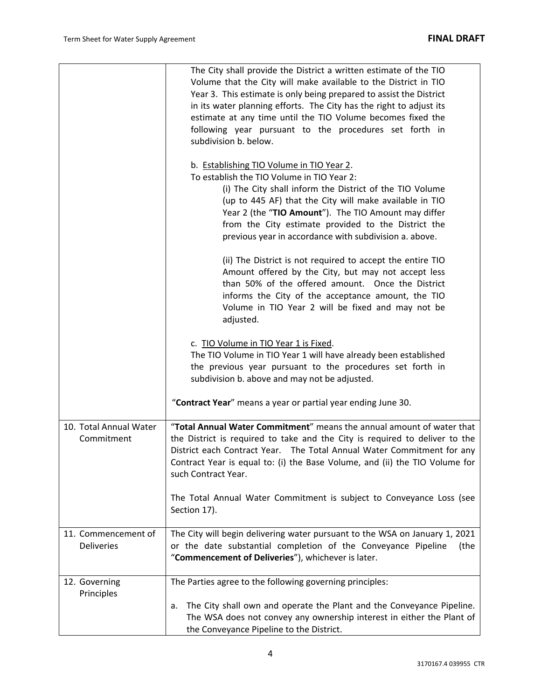|                                          | The City shall provide the District a written estimate of the TIO<br>Volume that the City will make available to the District in TIO<br>Year 3. This estimate is only being prepared to assist the District<br>in its water planning efforts. The City has the right to adjust its<br>estimate at any time until the TIO Volume becomes fixed the<br>following year pursuant to the procedures set forth in<br>subdivision b. below.<br>b. Establishing TIO Volume in TIO Year 2.<br>To establish the TIO Volume in TIO Year 2:<br>(i) The City shall inform the District of the TIO Volume<br>(up to 445 AF) that the City will make available in TIO<br>Year 2 (the "TIO Amount"). The TIO Amount may differ |
|------------------------------------------|----------------------------------------------------------------------------------------------------------------------------------------------------------------------------------------------------------------------------------------------------------------------------------------------------------------------------------------------------------------------------------------------------------------------------------------------------------------------------------------------------------------------------------------------------------------------------------------------------------------------------------------------------------------------------------------------------------------|
|                                          | from the City estimate provided to the District the<br>previous year in accordance with subdivision a. above.                                                                                                                                                                                                                                                                                                                                                                                                                                                                                                                                                                                                  |
|                                          | (ii) The District is not required to accept the entire TIO<br>Amount offered by the City, but may not accept less<br>than 50% of the offered amount. Once the District<br>informs the City of the acceptance amount, the TIO<br>Volume in TIO Year 2 will be fixed and may not be<br>adjusted.                                                                                                                                                                                                                                                                                                                                                                                                                 |
|                                          | c. TIO Volume in TIO Year 1 is Fixed.<br>The TIO Volume in TIO Year 1 will have already been established<br>the previous year pursuant to the procedures set forth in<br>subdivision b. above and may not be adjusted.                                                                                                                                                                                                                                                                                                                                                                                                                                                                                         |
|                                          | "Contract Year" means a year or partial year ending June 30.                                                                                                                                                                                                                                                                                                                                                                                                                                                                                                                                                                                                                                                   |
| 10. Total Annual Water<br>Commitment     | "Total Annual Water Commitment" means the annual amount of water that<br>the District is required to take and the City is required to deliver to the<br>District each Contract Year.  The Total Annual Water Commitment for any<br>Contract Year is equal to: (i) the Base Volume, and (ii) the TIO Volume for<br>such Contract Year.                                                                                                                                                                                                                                                                                                                                                                          |
|                                          | The Total Annual Water Commitment is subject to Conveyance Loss (see<br>Section 17).                                                                                                                                                                                                                                                                                                                                                                                                                                                                                                                                                                                                                           |
| 11. Commencement of<br><b>Deliveries</b> | The City will begin delivering water pursuant to the WSA on January 1, 2021<br>or the date substantial completion of the Conveyance Pipeline<br>(the<br>"Commencement of Deliveries"), whichever is later.                                                                                                                                                                                                                                                                                                                                                                                                                                                                                                     |
| 12. Governing<br>Principles              | The Parties agree to the following governing principles:                                                                                                                                                                                                                                                                                                                                                                                                                                                                                                                                                                                                                                                       |
|                                          | The City shall own and operate the Plant and the Conveyance Pipeline.<br>a.<br>The WSA does not convey any ownership interest in either the Plant of<br>the Conveyance Pipeline to the District.                                                                                                                                                                                                                                                                                                                                                                                                                                                                                                               |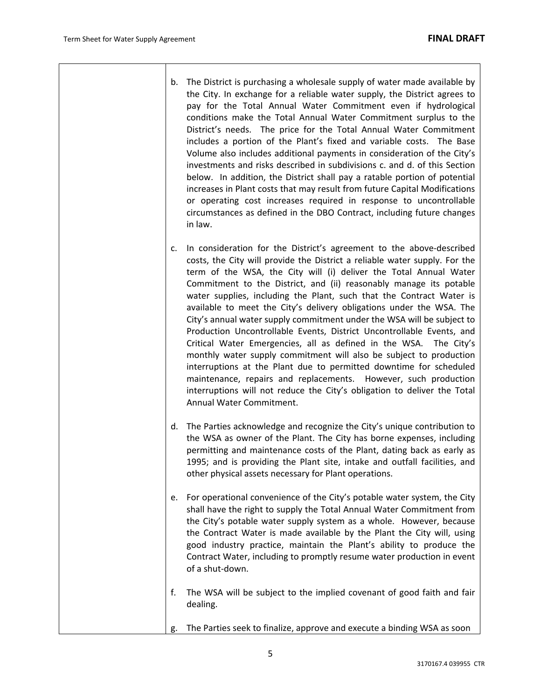| b. | The District is purchasing a wholesale supply of water made available by<br>the City. In exchange for a reliable water supply, the District agrees to<br>pay for the Total Annual Water Commitment even if hydrological<br>conditions make the Total Annual Water Commitment surplus to the<br>District's needs. The price for the Total Annual Water Commitment                                                                                                                                                                                   |
|----|----------------------------------------------------------------------------------------------------------------------------------------------------------------------------------------------------------------------------------------------------------------------------------------------------------------------------------------------------------------------------------------------------------------------------------------------------------------------------------------------------------------------------------------------------|
|    | includes a portion of the Plant's fixed and variable costs. The Base<br>Volume also includes additional payments in consideration of the City's<br>investments and risks described in subdivisions c. and d. of this Section<br>below. In addition, the District shall pay a ratable portion of potential<br>increases in Plant costs that may result from future Capital Modifications<br>or operating cost increases required in response to uncontrollable<br>circumstances as defined in the DBO Contract, including future changes<br>in law. |

- c. In consideration for the District's agreement to the above‐described costs, the City will provide the District a reliable water supply. For the term of the WSA, the City will (i) deliver the Total Annual Water Commitment to the District, and (ii) reasonably manage its potable water supplies, including the Plant, such that the Contract Water is available to meet the City's delivery obligations under the WSA. The City's annual water supply commitment under the WSA will be subject to Production Uncontrollable Events, District Uncontrollable Events, and Critical Water Emergencies, all as defined in the WSA. The City's monthly water supply commitment will also be subject to production interruptions at the Plant due to permitted downtime for scheduled maintenance, repairs and replacements. However, such production interruptions will not reduce the City's obligation to deliver the Total Annual Water Commitment.
- d. The Parties acknowledge and recognize the City's unique contribution to the WSA as owner of the Plant. The City has borne expenses, including permitting and maintenance costs of the Plant, dating back as early as 1995; and is providing the Plant site, intake and outfall facilities, and other physical assets necessary for Plant operations.
- e. For operational convenience of the City's potable water system, the City shall have the right to supply the Total Annual Water Commitment from the City's potable water supply system as a whole. However, because the Contract Water is made available by the Plant the City will, using good industry practice, maintain the Plant's ability to produce the Contract Water, including to promptly resume water production in event of a shut‐down.
- f. The WSA will be subject to the implied covenant of good faith and fair dealing.
- g. The Parties seek to finalize, approve and execute a binding WSA as soon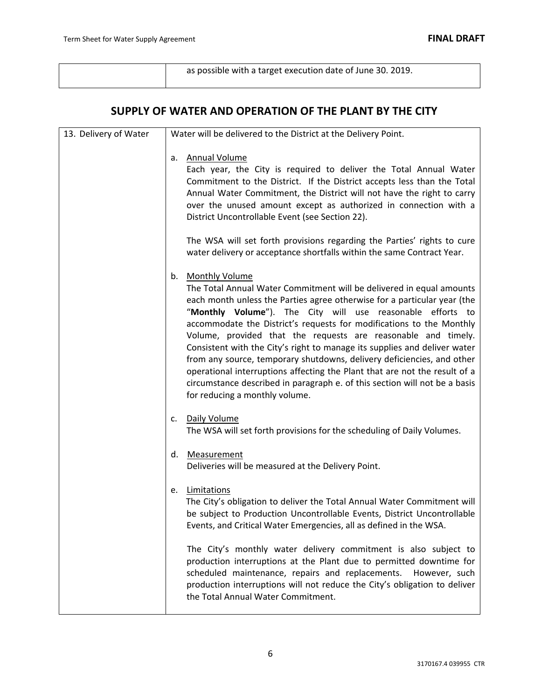| as possible with a target execution date of June 30. 2019. |  |
|------------------------------------------------------------|--|
|                                                            |  |

# **SUPPLY OF WATER AND OPERATION OF THE PLANT BY THE CITY**

| 13. Delivery of Water | Water will be delivered to the District at the Delivery Point.                                                                                                                                                                                                                                                                                                                                                                                                                                                                                                                                                                                                                                                                              |
|-----------------------|---------------------------------------------------------------------------------------------------------------------------------------------------------------------------------------------------------------------------------------------------------------------------------------------------------------------------------------------------------------------------------------------------------------------------------------------------------------------------------------------------------------------------------------------------------------------------------------------------------------------------------------------------------------------------------------------------------------------------------------------|
|                       | Annual Volume<br>a.<br>Each year, the City is required to deliver the Total Annual Water<br>Commitment to the District. If the District accepts less than the Total<br>Annual Water Commitment, the District will not have the right to carry<br>over the unused amount except as authorized in connection with a<br>District Uncontrollable Event (see Section 22).                                                                                                                                                                                                                                                                                                                                                                        |
|                       | The WSA will set forth provisions regarding the Parties' rights to cure<br>water delivery or acceptance shortfalls within the same Contract Year.                                                                                                                                                                                                                                                                                                                                                                                                                                                                                                                                                                                           |
|                       | <b>Monthly Volume</b><br>b.<br>The Total Annual Water Commitment will be delivered in equal amounts<br>each month unless the Parties agree otherwise for a particular year (the<br>"Monthly Volume"). The City will use reasonable efforts to<br>accommodate the District's requests for modifications to the Monthly<br>Volume, provided that the requests are reasonable and timely.<br>Consistent with the City's right to manage its supplies and deliver water<br>from any source, temporary shutdowns, delivery deficiencies, and other<br>operational interruptions affecting the Plant that are not the result of a<br>circumstance described in paragraph e. of this section will not be a basis<br>for reducing a monthly volume. |
|                       | Daily Volume<br>c.<br>The WSA will set forth provisions for the scheduling of Daily Volumes.                                                                                                                                                                                                                                                                                                                                                                                                                                                                                                                                                                                                                                                |
|                       | Measurement<br>d.<br>Deliveries will be measured at the Delivery Point.                                                                                                                                                                                                                                                                                                                                                                                                                                                                                                                                                                                                                                                                     |
|                       | Limitations<br>e.<br>The City's obligation to deliver the Total Annual Water Commitment will<br>be subject to Production Uncontrollable Events, District Uncontrollable<br>Events, and Critical Water Emergencies, all as defined in the WSA.                                                                                                                                                                                                                                                                                                                                                                                                                                                                                               |
|                       | The City's monthly water delivery commitment is also subject to<br>production interruptions at the Plant due to permitted downtime for<br>scheduled maintenance, repairs and replacements.<br>However, such<br>production interruptions will not reduce the City's obligation to deliver<br>the Total Annual Water Commitment.                                                                                                                                                                                                                                                                                                                                                                                                              |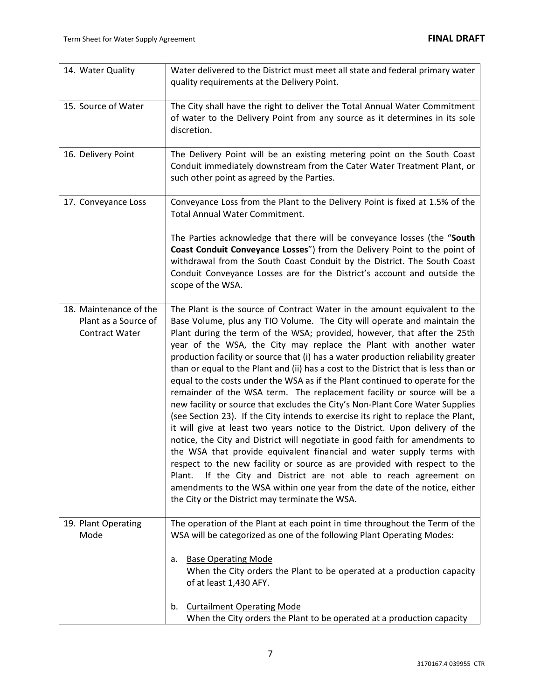| 14. Water Quality                                                       | Water delivered to the District must meet all state and federal primary water<br>quality requirements at the Delivery Point.                                                                                                                                                                                                                                                                                                                                                                                                                                                                                                                                                                                                                                                                                                                                                                                                                                                                                                                                                                                                                                                                                                                                                                                                                         |
|-------------------------------------------------------------------------|------------------------------------------------------------------------------------------------------------------------------------------------------------------------------------------------------------------------------------------------------------------------------------------------------------------------------------------------------------------------------------------------------------------------------------------------------------------------------------------------------------------------------------------------------------------------------------------------------------------------------------------------------------------------------------------------------------------------------------------------------------------------------------------------------------------------------------------------------------------------------------------------------------------------------------------------------------------------------------------------------------------------------------------------------------------------------------------------------------------------------------------------------------------------------------------------------------------------------------------------------------------------------------------------------------------------------------------------------|
| 15. Source of Water                                                     | The City shall have the right to deliver the Total Annual Water Commitment<br>of water to the Delivery Point from any source as it determines in its sole<br>discretion.                                                                                                                                                                                                                                                                                                                                                                                                                                                                                                                                                                                                                                                                                                                                                                                                                                                                                                                                                                                                                                                                                                                                                                             |
| 16. Delivery Point                                                      | The Delivery Point will be an existing metering point on the South Coast<br>Conduit immediately downstream from the Cater Water Treatment Plant, or<br>such other point as agreed by the Parties.                                                                                                                                                                                                                                                                                                                                                                                                                                                                                                                                                                                                                                                                                                                                                                                                                                                                                                                                                                                                                                                                                                                                                    |
| 17. Conveyance Loss                                                     | Conveyance Loss from the Plant to the Delivery Point is fixed at 1.5% of the<br><b>Total Annual Water Commitment.</b>                                                                                                                                                                                                                                                                                                                                                                                                                                                                                                                                                                                                                                                                                                                                                                                                                                                                                                                                                                                                                                                                                                                                                                                                                                |
|                                                                         | The Parties acknowledge that there will be conveyance losses (the "South<br>Coast Conduit Conveyance Losses") from the Delivery Point to the point of<br>withdrawal from the South Coast Conduit by the District. The South Coast<br>Conduit Conveyance Losses are for the District's account and outside the<br>scope of the WSA.                                                                                                                                                                                                                                                                                                                                                                                                                                                                                                                                                                                                                                                                                                                                                                                                                                                                                                                                                                                                                   |
| 18. Maintenance of the<br>Plant as a Source of<br><b>Contract Water</b> | The Plant is the source of Contract Water in the amount equivalent to the<br>Base Volume, plus any TIO Volume. The City will operate and maintain the<br>Plant during the term of the WSA; provided, however, that after the 25th<br>year of the WSA, the City may replace the Plant with another water<br>production facility or source that (i) has a water production reliability greater<br>than or equal to the Plant and (ii) has a cost to the District that is less than or<br>equal to the costs under the WSA as if the Plant continued to operate for the<br>remainder of the WSA term. The replacement facility or source will be a<br>new facility or source that excludes the City's Non-Plant Core Water Supplies<br>(see Section 23). If the City intends to exercise its right to replace the Plant,<br>it will give at least two years notice to the District. Upon delivery of the<br>notice, the City and District will negotiate in good faith for amendments to<br>the WSA that provide equivalent financial and water supply terms with<br>respect to the new facility or source as are provided with respect to the<br>If the City and District are not able to reach agreement on<br>Plant.<br>amendments to the WSA within one year from the date of the notice, either<br>the City or the District may terminate the WSA. |
| 19. Plant Operating<br>Mode                                             | The operation of the Plant at each point in time throughout the Term of the<br>WSA will be categorized as one of the following Plant Operating Modes:<br><b>Base Operating Mode</b><br>a.<br>When the City orders the Plant to be operated at a production capacity<br>of at least 1,430 AFY.                                                                                                                                                                                                                                                                                                                                                                                                                                                                                                                                                                                                                                                                                                                                                                                                                                                                                                                                                                                                                                                        |
|                                                                         | <b>Curtailment Operating Mode</b><br>b.<br>When the City orders the Plant to be operated at a production capacity                                                                                                                                                                                                                                                                                                                                                                                                                                                                                                                                                                                                                                                                                                                                                                                                                                                                                                                                                                                                                                                                                                                                                                                                                                    |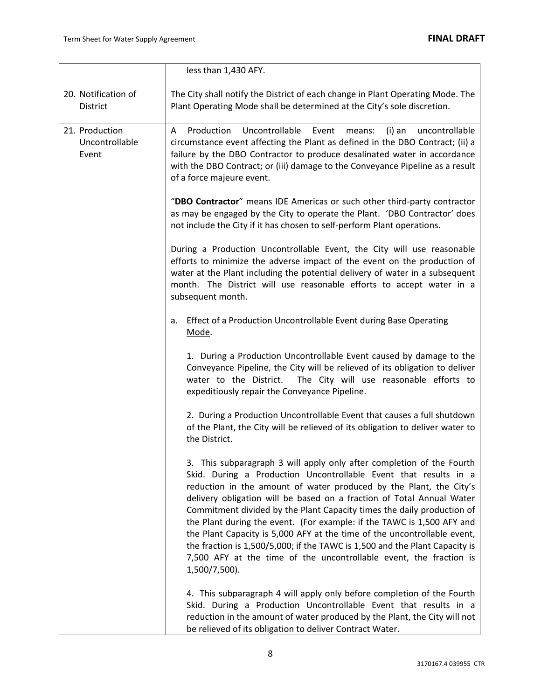|                                           | less than 1,430 AFY.                                                                                                                                                                                                                                                                                                                                                                                                                                                                                                                                                                                                                                                                           |
|-------------------------------------------|------------------------------------------------------------------------------------------------------------------------------------------------------------------------------------------------------------------------------------------------------------------------------------------------------------------------------------------------------------------------------------------------------------------------------------------------------------------------------------------------------------------------------------------------------------------------------------------------------------------------------------------------------------------------------------------------|
| 20. Notification of<br>District           | The City shall notify the District of each change in Plant Operating Mode. The<br>Plant Operating Mode shall be determined at the City's sole discretion.                                                                                                                                                                                                                                                                                                                                                                                                                                                                                                                                      |
| 21. Production<br>Uncontrollable<br>Event | Uncontrollable<br>Production<br>Event<br>A<br>means:<br>(i) an<br>uncontrollable<br>circumstance event affecting the Plant as defined in the DBO Contract; (ii) a<br>failure by the DBO Contractor to produce desalinated water in accordance<br>with the DBO Contract; or (iii) damage to the Conveyance Pipeline as a result<br>of a force majeure event.                                                                                                                                                                                                                                                                                                                                    |
|                                           | "DBO Contractor" means IDE Americas or such other third-party contractor<br>as may be engaged by the City to operate the Plant. 'DBO Contractor' does<br>not include the City if it has chosen to self-perform Plant operations.                                                                                                                                                                                                                                                                                                                                                                                                                                                               |
|                                           | During a Production Uncontrollable Event, the City will use reasonable<br>efforts to minimize the adverse impact of the event on the production of<br>water at the Plant including the potential delivery of water in a subsequent<br>month. The District will use reasonable efforts to accept water in a<br>subsequent month.                                                                                                                                                                                                                                                                                                                                                                |
|                                           | <b>Effect of a Production Uncontrollable Event during Base Operating</b><br>a.<br>Mode.                                                                                                                                                                                                                                                                                                                                                                                                                                                                                                                                                                                                        |
|                                           | 1. During a Production Uncontrollable Event caused by damage to the<br>Conveyance Pipeline, the City will be relieved of its obligation to deliver<br>The City will use reasonable efforts to<br>water to the District.<br>expeditiously repair the Conveyance Pipeline.                                                                                                                                                                                                                                                                                                                                                                                                                       |
|                                           | 2. During a Production Uncontrollable Event that causes a full shutdown<br>of the Plant, the City will be relieved of its obligation to deliver water to<br>the District.                                                                                                                                                                                                                                                                                                                                                                                                                                                                                                                      |
|                                           | 3. This subparagraph 3 will apply only after completion of the Fourth<br>Skid. During a Production Uncontrollable Event that results in a<br>reduction in the amount of water produced by the Plant, the City's<br>delivery obligation will be based on a fraction of Total Annual Water<br>Commitment divided by the Plant Capacity times the daily production of<br>the Plant during the event. (For example: if the TAWC is 1,500 AFY and<br>the Plant Capacity is 5,000 AFY at the time of the uncontrollable event,<br>the fraction is 1,500/5,000; if the TAWC is 1,500 and the Plant Capacity is<br>7,500 AFY at the time of the uncontrollable event, the fraction is<br>1,500/7,500). |
|                                           | 4. This subparagraph 4 will apply only before completion of the Fourth<br>Skid. During a Production Uncontrollable Event that results in a<br>reduction in the amount of water produced by the Plant, the City will not<br>be relieved of its obligation to deliver Contract Water.                                                                                                                                                                                                                                                                                                                                                                                                            |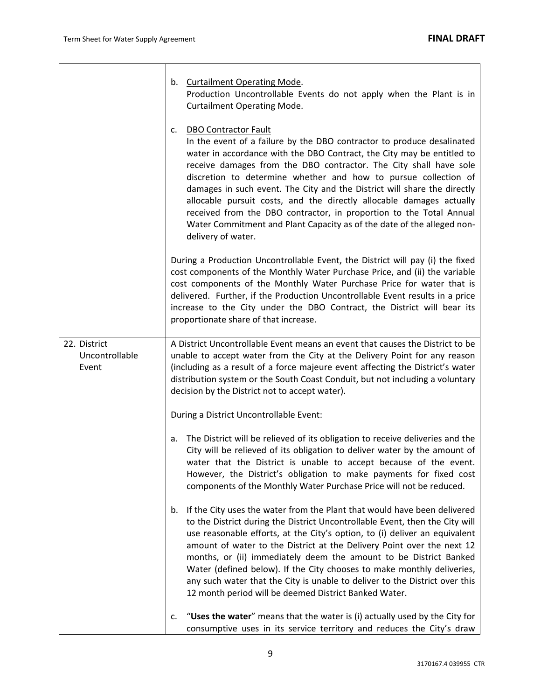|                                         | b. Curtailment Operating Mode.<br>Production Uncontrollable Events do not apply when the Plant is in<br><b>Curtailment Operating Mode.</b>                                                                                                                                                                                                                                                                                                                                                                                                                                                                                                               |
|-----------------------------------------|----------------------------------------------------------------------------------------------------------------------------------------------------------------------------------------------------------------------------------------------------------------------------------------------------------------------------------------------------------------------------------------------------------------------------------------------------------------------------------------------------------------------------------------------------------------------------------------------------------------------------------------------------------|
|                                         | <b>DBO Contractor Fault</b><br>c.<br>In the event of a failure by the DBO contractor to produce desalinated<br>water in accordance with the DBO Contract, the City may be entitled to<br>receive damages from the DBO contractor. The City shall have sole<br>discretion to determine whether and how to pursue collection of<br>damages in such event. The City and the District will share the directly<br>allocable pursuit costs, and the directly allocable damages actually<br>received from the DBO contractor, in proportion to the Total Annual<br>Water Commitment and Plant Capacity as of the date of the alleged non-<br>delivery of water. |
|                                         | During a Production Uncontrollable Event, the District will pay (i) the fixed<br>cost components of the Monthly Water Purchase Price, and (ii) the variable<br>cost components of the Monthly Water Purchase Price for water that is<br>delivered. Further, if the Production Uncontrollable Event results in a price<br>increase to the City under the DBO Contract, the District will bear its<br>proportionate share of that increase.                                                                                                                                                                                                                |
| 22. District<br>Uncontrollable<br>Event | A District Uncontrollable Event means an event that causes the District to be<br>unable to accept water from the City at the Delivery Point for any reason<br>(including as a result of a force majeure event affecting the District's water<br>distribution system or the South Coast Conduit, but not including a voluntary<br>decision by the District not to accept water).                                                                                                                                                                                                                                                                          |
|                                         | During a District Uncontrollable Event:                                                                                                                                                                                                                                                                                                                                                                                                                                                                                                                                                                                                                  |
|                                         | The District will be relieved of its obligation to receive deliveries and the<br>a.<br>City will be relieved of its obligation to deliver water by the amount of<br>water that the District is unable to accept because of the event.<br>However, the District's obligation to make payments for fixed cost<br>components of the Monthly Water Purchase Price will not be reduced.                                                                                                                                                                                                                                                                       |
|                                         | If the City uses the water from the Plant that would have been delivered<br>b.<br>to the District during the District Uncontrollable Event, then the City will<br>use reasonable efforts, at the City's option, to (i) deliver an equivalent<br>amount of water to the District at the Delivery Point over the next 12<br>months, or (ii) immediately deem the amount to be District Banked<br>Water (defined below). If the City chooses to make monthly deliveries,<br>any such water that the City is unable to deliver to the District over this<br>12 month period will be deemed District Banked Water.                                            |
|                                         | "Uses the water" means that the water is (i) actually used by the City for<br>c.<br>consumptive uses in its service territory and reduces the City's draw                                                                                                                                                                                                                                                                                                                                                                                                                                                                                                |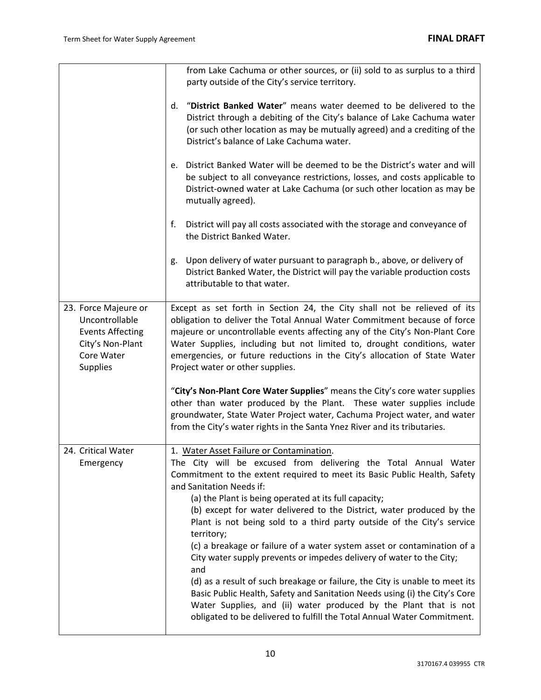|                                                                                                                        | from Lake Cachuma or other sources, or (ii) sold to as surplus to a third<br>party outside of the City's service territory.                                                                                                                                                                                                                                                                                                                                                                                                                                                                                                                                                                                                                                                                                                                                                                                          |
|------------------------------------------------------------------------------------------------------------------------|----------------------------------------------------------------------------------------------------------------------------------------------------------------------------------------------------------------------------------------------------------------------------------------------------------------------------------------------------------------------------------------------------------------------------------------------------------------------------------------------------------------------------------------------------------------------------------------------------------------------------------------------------------------------------------------------------------------------------------------------------------------------------------------------------------------------------------------------------------------------------------------------------------------------|
|                                                                                                                        | "District Banked Water" means water deemed to be delivered to the<br>d.<br>District through a debiting of the City's balance of Lake Cachuma water<br>(or such other location as may be mutually agreed) and a crediting of the<br>District's balance of Lake Cachuma water.                                                                                                                                                                                                                                                                                                                                                                                                                                                                                                                                                                                                                                         |
|                                                                                                                        | e. District Banked Water will be deemed to be the District's water and will<br>be subject to all conveyance restrictions, losses, and costs applicable to<br>District-owned water at Lake Cachuma (or such other location as may be<br>mutually agreed).                                                                                                                                                                                                                                                                                                                                                                                                                                                                                                                                                                                                                                                             |
|                                                                                                                        | f.<br>District will pay all costs associated with the storage and conveyance of<br>the District Banked Water.                                                                                                                                                                                                                                                                                                                                                                                                                                                                                                                                                                                                                                                                                                                                                                                                        |
|                                                                                                                        | Upon delivery of water pursuant to paragraph b., above, or delivery of<br>g.<br>District Banked Water, the District will pay the variable production costs<br>attributable to that water.                                                                                                                                                                                                                                                                                                                                                                                                                                                                                                                                                                                                                                                                                                                            |
| 23. Force Majeure or<br>Uncontrollable<br><b>Events Affecting</b><br>City's Non-Plant<br>Core Water<br><b>Supplies</b> | Except as set forth in Section 24, the City shall not be relieved of its<br>obligation to deliver the Total Annual Water Commitment because of force<br>majeure or uncontrollable events affecting any of the City's Non-Plant Core<br>Water Supplies, including but not limited to, drought conditions, water<br>emergencies, or future reductions in the City's allocation of State Water<br>Project water or other supplies.                                                                                                                                                                                                                                                                                                                                                                                                                                                                                      |
|                                                                                                                        | "City's Non-Plant Core Water Supplies" means the City's core water supplies<br>other than water produced by the Plant. These water supplies include<br>groundwater, State Water Project water, Cachuma Project water, and water<br>from the City's water rights in the Santa Ynez River and its tributaries.                                                                                                                                                                                                                                                                                                                                                                                                                                                                                                                                                                                                         |
| 24. Critical Water<br>Emergency                                                                                        | 1. Water Asset Failure or Contamination.<br>The City will be excused from delivering the Total Annual Water<br>Commitment to the extent required to meet its Basic Public Health, Safety<br>and Sanitation Needs if:<br>(a) the Plant is being operated at its full capacity;<br>(b) except for water delivered to the District, water produced by the<br>Plant is not being sold to a third party outside of the City's service<br>territory;<br>(c) a breakage or failure of a water system asset or contamination of a<br>City water supply prevents or impedes delivery of water to the City;<br>and<br>(d) as a result of such breakage or failure, the City is unable to meet its<br>Basic Public Health, Safety and Sanitation Needs using (i) the City's Core<br>Water Supplies, and (ii) water produced by the Plant that is not<br>obligated to be delivered to fulfill the Total Annual Water Commitment. |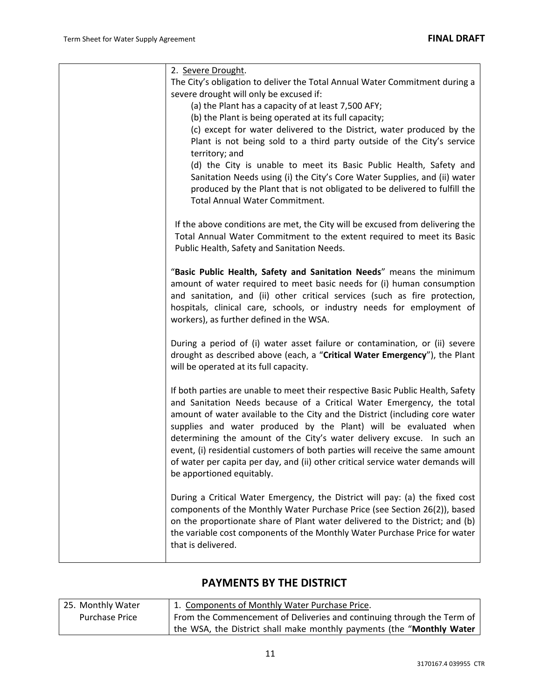| 2. Severe Drought.                                                                                                                                                                                                                                                                                                                                                                                                                                                                                                                                                                      |
|-----------------------------------------------------------------------------------------------------------------------------------------------------------------------------------------------------------------------------------------------------------------------------------------------------------------------------------------------------------------------------------------------------------------------------------------------------------------------------------------------------------------------------------------------------------------------------------------|
| The City's obligation to deliver the Total Annual Water Commitment during a<br>severe drought will only be excused if:                                                                                                                                                                                                                                                                                                                                                                                                                                                                  |
| (a) the Plant has a capacity of at least 7,500 AFY;                                                                                                                                                                                                                                                                                                                                                                                                                                                                                                                                     |
| (b) the Plant is being operated at its full capacity;                                                                                                                                                                                                                                                                                                                                                                                                                                                                                                                                   |
| (c) except for water delivered to the District, water produced by the<br>Plant is not being sold to a third party outside of the City's service<br>territory; and                                                                                                                                                                                                                                                                                                                                                                                                                       |
| (d) the City is unable to meet its Basic Public Health, Safety and<br>Sanitation Needs using (i) the City's Core Water Supplies, and (ii) water<br>produced by the Plant that is not obligated to be delivered to fulfill the<br><b>Total Annual Water Commitment.</b>                                                                                                                                                                                                                                                                                                                  |
| If the above conditions are met, the City will be excused from delivering the<br>Total Annual Water Commitment to the extent required to meet its Basic<br>Public Health, Safety and Sanitation Needs.                                                                                                                                                                                                                                                                                                                                                                                  |
| "Basic Public Health, Safety and Sanitation Needs" means the minimum<br>amount of water required to meet basic needs for (i) human consumption<br>and sanitation, and (ii) other critical services (such as fire protection,<br>hospitals, clinical care, schools, or industry needs for employment of<br>workers), as further defined in the WSA.                                                                                                                                                                                                                                      |
| During a period of (i) water asset failure or contamination, or (ii) severe<br>drought as described above (each, a "Critical Water Emergency"), the Plant<br>will be operated at its full capacity.                                                                                                                                                                                                                                                                                                                                                                                     |
| If both parties are unable to meet their respective Basic Public Health, Safety<br>and Sanitation Needs because of a Critical Water Emergency, the total<br>amount of water available to the City and the District (including core water<br>supplies and water produced by the Plant) will be evaluated when<br>determining the amount of the City's water delivery excuse. In such an<br>event, (i) residential customers of both parties will receive the same amount<br>of water per capita per day, and (ii) other critical service water demands will<br>be apportioned equitably. |
| During a Critical Water Emergency, the District will pay: (a) the fixed cost<br>components of the Monthly Water Purchase Price (see Section 26(2)), based<br>on the proportionate share of Plant water delivered to the District; and (b)<br>the variable cost components of the Monthly Water Purchase Price for water<br>that is delivered.                                                                                                                                                                                                                                           |

# **PAYMENTS BY THE DISTRICT**

| 25. Monthly Water     | 1. Components of Monthly Water Purchase Price.                         |
|-----------------------|------------------------------------------------------------------------|
| <b>Purchase Price</b> | From the Commencement of Deliveries and continuing through the Term of |
|                       | the WSA, the District shall make monthly payments (the "Monthly Water  |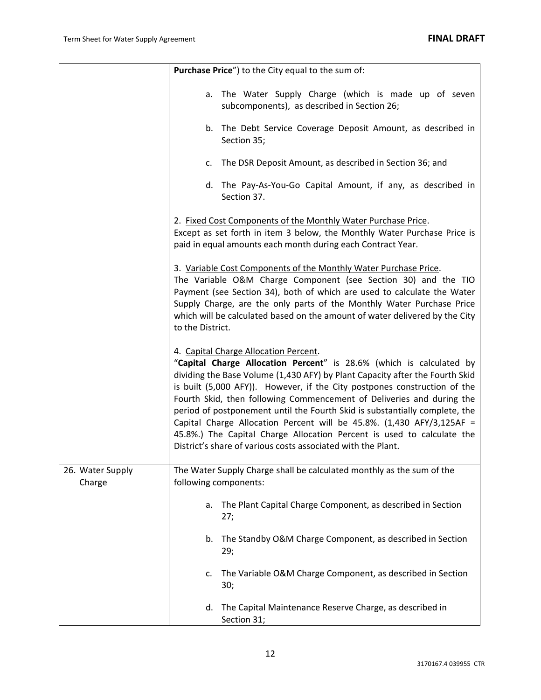|                            | Purchase Price") to the City equal to the sum of:                                                                                                                                                                                                                                                                                                                                                                                                                                                                                                                                                                                                     |
|----------------------------|-------------------------------------------------------------------------------------------------------------------------------------------------------------------------------------------------------------------------------------------------------------------------------------------------------------------------------------------------------------------------------------------------------------------------------------------------------------------------------------------------------------------------------------------------------------------------------------------------------------------------------------------------------|
|                            | a. The Water Supply Charge (which is made up of seven<br>subcomponents), as described in Section 26;                                                                                                                                                                                                                                                                                                                                                                                                                                                                                                                                                  |
|                            | b. The Debt Service Coverage Deposit Amount, as described in<br>Section 35;                                                                                                                                                                                                                                                                                                                                                                                                                                                                                                                                                                           |
|                            | c. The DSR Deposit Amount, as described in Section 36; and                                                                                                                                                                                                                                                                                                                                                                                                                                                                                                                                                                                            |
|                            | d. The Pay-As-You-Go Capital Amount, if any, as described in<br>Section 37.                                                                                                                                                                                                                                                                                                                                                                                                                                                                                                                                                                           |
|                            | 2. Fixed Cost Components of the Monthly Water Purchase Price.<br>Except as set forth in item 3 below, the Monthly Water Purchase Price is<br>paid in equal amounts each month during each Contract Year.                                                                                                                                                                                                                                                                                                                                                                                                                                              |
|                            | 3. Variable Cost Components of the Monthly Water Purchase Price.<br>The Variable O&M Charge Component (see Section 30) and the TIO<br>Payment (see Section 34), both of which are used to calculate the Water<br>Supply Charge, are the only parts of the Monthly Water Purchase Price<br>which will be calculated based on the amount of water delivered by the City<br>to the District.                                                                                                                                                                                                                                                             |
|                            | 4. Capital Charge Allocation Percent.<br>"Capital Charge Allocation Percent" is 28.6% (which is calculated by<br>dividing the Base Volume (1,430 AFY) by Plant Capacity after the Fourth Skid<br>is built (5,000 AFY)). However, if the City postpones construction of the<br>Fourth Skid, then following Commencement of Deliveries and during the<br>period of postponement until the Fourth Skid is substantially complete, the<br>Capital Charge Allocation Percent will be 45.8%. (1,430 AFY/3,125AF =<br>45.8%.) The Capital Charge Allocation Percent is used to calculate the<br>District's share of various costs associated with the Plant. |
| 26. Water Supply<br>Charge | The Water Supply Charge shall be calculated monthly as the sum of the<br>following components:                                                                                                                                                                                                                                                                                                                                                                                                                                                                                                                                                        |
|                            | The Plant Capital Charge Component, as described in Section<br>a.<br>27;                                                                                                                                                                                                                                                                                                                                                                                                                                                                                                                                                                              |
|                            | The Standby O&M Charge Component, as described in Section<br>b.<br>29;                                                                                                                                                                                                                                                                                                                                                                                                                                                                                                                                                                                |
|                            | The Variable O&M Charge Component, as described in Section<br>c.<br>30;                                                                                                                                                                                                                                                                                                                                                                                                                                                                                                                                                                               |
|                            | The Capital Maintenance Reserve Charge, as described in<br>d.<br>Section 31;                                                                                                                                                                                                                                                                                                                                                                                                                                                                                                                                                                          |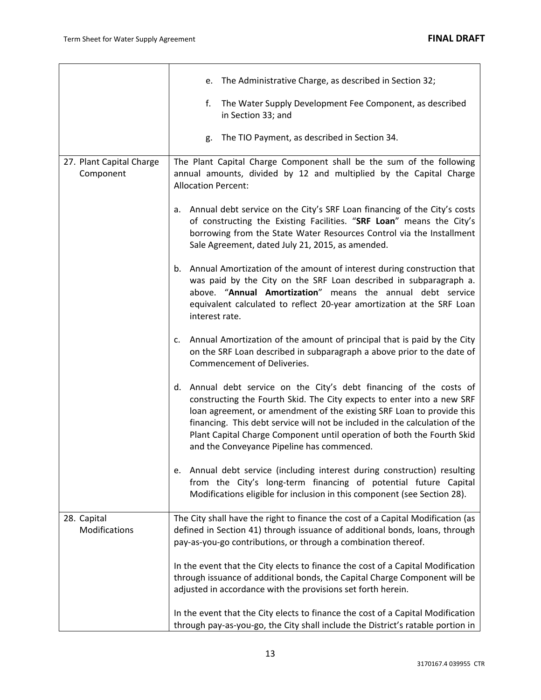|                                       | e. The Administrative Charge, as described in Section 32;                                                                                                                                                                                                                                                                                                                                                                     |
|---------------------------------------|-------------------------------------------------------------------------------------------------------------------------------------------------------------------------------------------------------------------------------------------------------------------------------------------------------------------------------------------------------------------------------------------------------------------------------|
|                                       | The Water Supply Development Fee Component, as described<br>f.<br>in Section 33; and                                                                                                                                                                                                                                                                                                                                          |
|                                       | The TIO Payment, as described in Section 34.<br>g.                                                                                                                                                                                                                                                                                                                                                                            |
| 27. Plant Capital Charge<br>Component | The Plant Capital Charge Component shall be the sum of the following<br>annual amounts, divided by 12 and multiplied by the Capital Charge<br><b>Allocation Percent:</b>                                                                                                                                                                                                                                                      |
|                                       | Annual debt service on the City's SRF Loan financing of the City's costs<br>а.<br>of constructing the Existing Facilities. "SRF Loan" means the City's<br>borrowing from the State Water Resources Control via the Installment<br>Sale Agreement, dated July 21, 2015, as amended.                                                                                                                                            |
|                                       | Annual Amortization of the amount of interest during construction that<br>b.<br>was paid by the City on the SRF Loan described in subparagraph a.<br>above. "Annual Amortization" means the annual debt service<br>equivalent calculated to reflect 20-year amortization at the SRF Loan<br>interest rate.                                                                                                                    |
|                                       | Annual Amortization of the amount of principal that is paid by the City<br>c.<br>on the SRF Loan described in subparagraph a above prior to the date of<br>Commencement of Deliveries.                                                                                                                                                                                                                                        |
|                                       | d. Annual debt service on the City's debt financing of the costs of<br>constructing the Fourth Skid. The City expects to enter into a new SRF<br>loan agreement, or amendment of the existing SRF Loan to provide this<br>financing. This debt service will not be included in the calculation of the<br>Plant Capital Charge Component until operation of both the Fourth Skid<br>and the Conveyance Pipeline has commenced. |
|                                       | e. Annual debt service (including interest during construction) resulting<br>from the City's long-term financing of potential future Capital<br>Modifications eligible for inclusion in this component (see Section 28).                                                                                                                                                                                                      |
| 28. Capital<br>Modifications          | The City shall have the right to finance the cost of a Capital Modification (as<br>defined in Section 41) through issuance of additional bonds, loans, through<br>pay-as-you-go contributions, or through a combination thereof.                                                                                                                                                                                              |
|                                       | In the event that the City elects to finance the cost of a Capital Modification<br>through issuance of additional bonds, the Capital Charge Component will be<br>adjusted in accordance with the provisions set forth herein.                                                                                                                                                                                                 |
|                                       | In the event that the City elects to finance the cost of a Capital Modification<br>through pay-as-you-go, the City shall include the District's ratable portion in                                                                                                                                                                                                                                                            |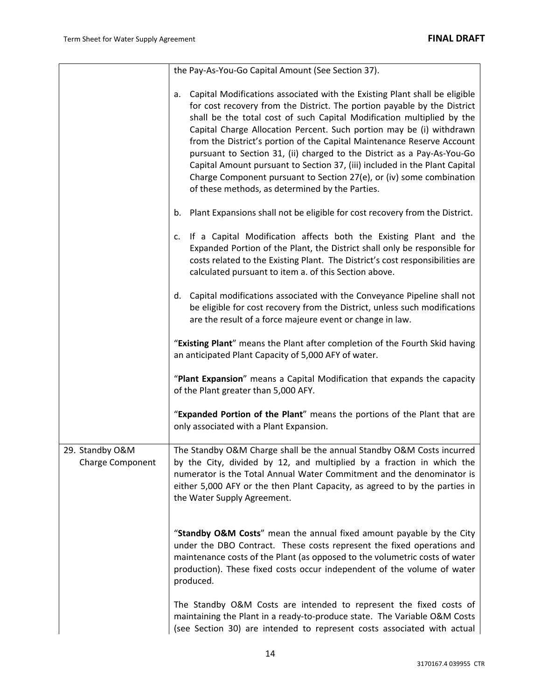|                                            | the Pay-As-You-Go Capital Amount (See Section 37).                                                                                                                                                                                                                                                                                                                                                                                                                                                                                                                                                                                                                           |
|--------------------------------------------|------------------------------------------------------------------------------------------------------------------------------------------------------------------------------------------------------------------------------------------------------------------------------------------------------------------------------------------------------------------------------------------------------------------------------------------------------------------------------------------------------------------------------------------------------------------------------------------------------------------------------------------------------------------------------|
|                                            | Capital Modifications associated with the Existing Plant shall be eligible<br>a.<br>for cost recovery from the District. The portion payable by the District<br>shall be the total cost of such Capital Modification multiplied by the<br>Capital Charge Allocation Percent. Such portion may be (i) withdrawn<br>from the District's portion of the Capital Maintenance Reserve Account<br>pursuant to Section 31, (ii) charged to the District as a Pay-As-You-Go<br>Capital Amount pursuant to Section 37, (iii) included in the Plant Capital<br>Charge Component pursuant to Section 27(e), or (iv) some combination<br>of these methods, as determined by the Parties. |
|                                            | Plant Expansions shall not be eligible for cost recovery from the District.<br>b.                                                                                                                                                                                                                                                                                                                                                                                                                                                                                                                                                                                            |
|                                            | If a Capital Modification affects both the Existing Plant and the<br>c.<br>Expanded Portion of the Plant, the District shall only be responsible for<br>costs related to the Existing Plant. The District's cost responsibilities are<br>calculated pursuant to item a. of this Section above.                                                                                                                                                                                                                                                                                                                                                                               |
|                                            | d. Capital modifications associated with the Conveyance Pipeline shall not<br>be eligible for cost recovery from the District, unless such modifications<br>are the result of a force majeure event or change in law.                                                                                                                                                                                                                                                                                                                                                                                                                                                        |
|                                            | "Existing Plant" means the Plant after completion of the Fourth Skid having<br>an anticipated Plant Capacity of 5,000 AFY of water.                                                                                                                                                                                                                                                                                                                                                                                                                                                                                                                                          |
|                                            | "Plant Expansion" means a Capital Modification that expands the capacity<br>of the Plant greater than 5,000 AFY.                                                                                                                                                                                                                                                                                                                                                                                                                                                                                                                                                             |
|                                            | "Expanded Portion of the Plant" means the portions of the Plant that are<br>only associated with a Plant Expansion.                                                                                                                                                                                                                                                                                                                                                                                                                                                                                                                                                          |
| 29. Standby O&M<br><b>Charge Component</b> | The Standby O&M Charge shall be the annual Standby O&M Costs incurred<br>by the City, divided by 12, and multiplied by a fraction in which the<br>numerator is the Total Annual Water Commitment and the denominator is<br>either 5,000 AFY or the then Plant Capacity, as agreed to by the parties in<br>the Water Supply Agreement.                                                                                                                                                                                                                                                                                                                                        |
|                                            | "Standby O&M Costs" mean the annual fixed amount payable by the City<br>under the DBO Contract. These costs represent the fixed operations and<br>maintenance costs of the Plant (as opposed to the volumetric costs of water<br>production). These fixed costs occur independent of the volume of water<br>produced.                                                                                                                                                                                                                                                                                                                                                        |
|                                            | The Standby O&M Costs are intended to represent the fixed costs of<br>maintaining the Plant in a ready-to-produce state. The Variable O&M Costs<br>(see Section 30) are intended to represent costs associated with actual                                                                                                                                                                                                                                                                                                                                                                                                                                                   |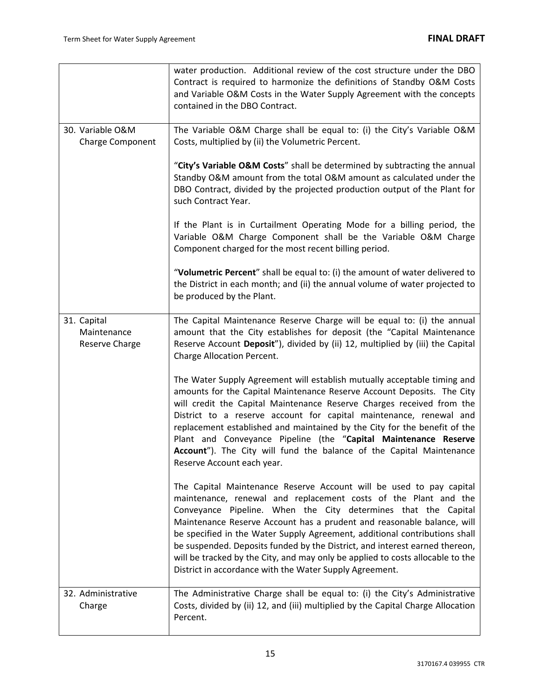|                                              | water production. Additional review of the cost structure under the DBO<br>Contract is required to harmonize the definitions of Standby O&M Costs<br>and Variable O&M Costs in the Water Supply Agreement with the concepts<br>contained in the DBO Contract.                                                                                                                                                                                                                                                                                                                                |
|----------------------------------------------|----------------------------------------------------------------------------------------------------------------------------------------------------------------------------------------------------------------------------------------------------------------------------------------------------------------------------------------------------------------------------------------------------------------------------------------------------------------------------------------------------------------------------------------------------------------------------------------------|
| 30. Variable O&M<br>Charge Component         | The Variable O&M Charge shall be equal to: (i) the City's Variable O&M<br>Costs, multiplied by (ii) the Volumetric Percent.                                                                                                                                                                                                                                                                                                                                                                                                                                                                  |
|                                              | "City's Variable O&M Costs" shall be determined by subtracting the annual<br>Standby O&M amount from the total O&M amount as calculated under the<br>DBO Contract, divided by the projected production output of the Plant for<br>such Contract Year.                                                                                                                                                                                                                                                                                                                                        |
|                                              | If the Plant is in Curtailment Operating Mode for a billing period, the<br>Variable O&M Charge Component shall be the Variable O&M Charge<br>Component charged for the most recent billing period.                                                                                                                                                                                                                                                                                                                                                                                           |
|                                              | "Volumetric Percent" shall be equal to: (i) the amount of water delivered to<br>the District in each month; and (ii) the annual volume of water projected to<br>be produced by the Plant.                                                                                                                                                                                                                                                                                                                                                                                                    |
| 31. Capital<br>Maintenance<br>Reserve Charge | The Capital Maintenance Reserve Charge will be equal to: (i) the annual<br>amount that the City establishes for deposit (the "Capital Maintenance<br>Reserve Account Deposit"), divided by (ii) 12, multiplied by (iii) the Capital<br>Charge Allocation Percent.                                                                                                                                                                                                                                                                                                                            |
|                                              | The Water Supply Agreement will establish mutually acceptable timing and<br>amounts for the Capital Maintenance Reserve Account Deposits. The City<br>will credit the Capital Maintenance Reserve Charges received from the<br>District to a reserve account for capital maintenance, renewal and<br>replacement established and maintained by the City for the benefit of the<br>Plant and Conveyance Pipeline (the "Capital Maintenance Reserve<br>Account"). The City will fund the balance of the Capital Maintenance<br>Reserve Account each year.                                      |
|                                              | The Capital Maintenance Reserve Account will be used to pay capital<br>maintenance, renewal and replacement costs of the Plant and the<br>Conveyance Pipeline. When the City determines that the Capital<br>Maintenance Reserve Account has a prudent and reasonable balance, will<br>be specified in the Water Supply Agreement, additional contributions shall<br>be suspended. Deposits funded by the District, and interest earned thereon,<br>will be tracked by the City, and may only be applied to costs allocable to the<br>District in accordance with the Water Supply Agreement. |
| 32. Administrative<br>Charge                 | The Administrative Charge shall be equal to: (i) the City's Administrative<br>Costs, divided by (ii) 12, and (iii) multiplied by the Capital Charge Allocation<br>Percent.                                                                                                                                                                                                                                                                                                                                                                                                                   |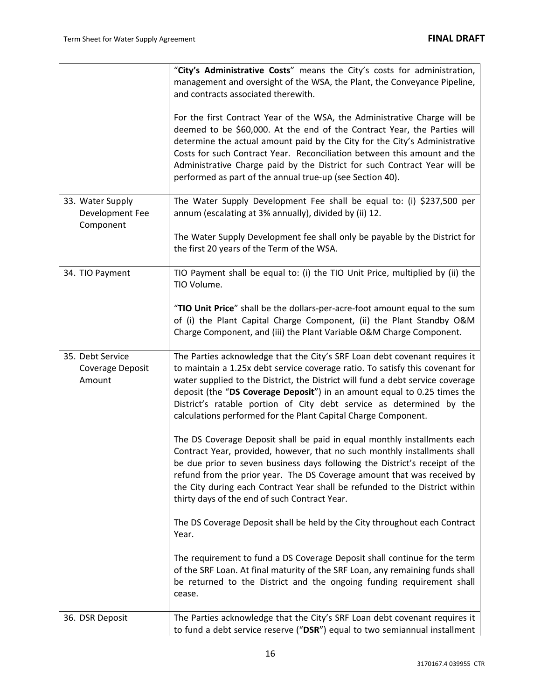|                                                  | "City's Administrative Costs" means the City's costs for administration,<br>management and oversight of the WSA, the Plant, the Conveyance Pipeline,<br>and contracts associated therewith.                                                                                                                                                                                                                                                                         |
|--------------------------------------------------|---------------------------------------------------------------------------------------------------------------------------------------------------------------------------------------------------------------------------------------------------------------------------------------------------------------------------------------------------------------------------------------------------------------------------------------------------------------------|
|                                                  | For the first Contract Year of the WSA, the Administrative Charge will be<br>deemed to be \$60,000. At the end of the Contract Year, the Parties will<br>determine the actual amount paid by the City for the City's Administrative<br>Costs for such Contract Year. Reconciliation between this amount and the<br>Administrative Charge paid by the District for such Contract Year will be<br>performed as part of the annual true-up (see Section 40).           |
| 33. Water Supply<br>Development Fee<br>Component | The Water Supply Development Fee shall be equal to: (i) \$237,500 per<br>annum (escalating at 3% annually), divided by (ii) 12.                                                                                                                                                                                                                                                                                                                                     |
|                                                  | The Water Supply Development fee shall only be payable by the District for<br>the first 20 years of the Term of the WSA.                                                                                                                                                                                                                                                                                                                                            |
| 34. TIO Payment                                  | TIO Payment shall be equal to: (i) the TIO Unit Price, multiplied by (ii) the<br>TIO Volume.                                                                                                                                                                                                                                                                                                                                                                        |
|                                                  | "TIO Unit Price" shall be the dollars-per-acre-foot amount equal to the sum<br>of (i) the Plant Capital Charge Component, (ii) the Plant Standby O&M<br>Charge Component, and (iii) the Plant Variable O&M Charge Component.                                                                                                                                                                                                                                        |
| 35. Debt Service<br>Coverage Deposit<br>Amount   | The Parties acknowledge that the City's SRF Loan debt covenant requires it<br>to maintain a 1.25x debt service coverage ratio. To satisfy this covenant for<br>water supplied to the District, the District will fund a debt service coverage<br>deposit (the "DS Coverage Deposit") in an amount equal to 0.25 times the<br>District's ratable portion of City debt service as determined by the<br>calculations performed for the Plant Capital Charge Component. |
|                                                  | The DS Coverage Deposit shall be paid in equal monthly installments each<br>Contract Year, provided, however, that no such monthly installments shall<br>be due prior to seven business days following the District's receipt of the<br>refund from the prior year. The DS Coverage amount that was received by<br>the City during each Contract Year shall be refunded to the District within<br>thirty days of the end of such Contract Year.                     |
|                                                  | The DS Coverage Deposit shall be held by the City throughout each Contract<br>Year.                                                                                                                                                                                                                                                                                                                                                                                 |
|                                                  | The requirement to fund a DS Coverage Deposit shall continue for the term<br>of the SRF Loan. At final maturity of the SRF Loan, any remaining funds shall<br>be returned to the District and the ongoing funding requirement shall<br>cease.                                                                                                                                                                                                                       |
| 36. DSR Deposit                                  | The Parties acknowledge that the City's SRF Loan debt covenant requires it<br>to fund a debt service reserve ("DSR") equal to two semiannual installment                                                                                                                                                                                                                                                                                                            |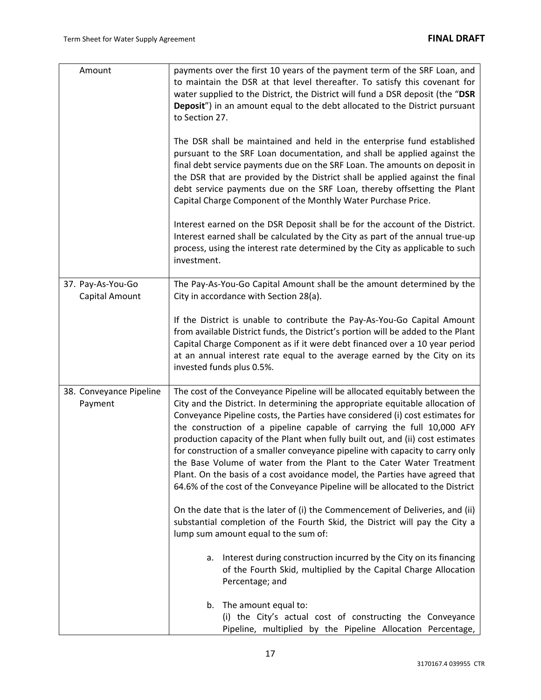| Amount                              | payments over the first 10 years of the payment term of the SRF Loan, and<br>to maintain the DSR at that level thereafter. To satisfy this covenant for<br>water supplied to the District, the District will fund a DSR deposit (the "DSR<br>Deposit") in an amount equal to the debt allocated to the District pursuant<br>to Section 27.<br>The DSR shall be maintained and held in the enterprise fund established<br>pursuant to the SRF Loan documentation, and shall be applied against the<br>final debt service payments due on the SRF Loan. The amounts on deposit in<br>the DSR that are provided by the District shall be applied against the final<br>debt service payments due on the SRF Loan, thereby offsetting the Plant<br>Capital Charge Component of the Monthly Water Purchase Price.<br>Interest earned on the DSR Deposit shall be for the account of the District.<br>Interest earned shall be calculated by the City as part of the annual true-up<br>process, using the interest rate determined by the City as applicable to such<br>investment. |
|-------------------------------------|------------------------------------------------------------------------------------------------------------------------------------------------------------------------------------------------------------------------------------------------------------------------------------------------------------------------------------------------------------------------------------------------------------------------------------------------------------------------------------------------------------------------------------------------------------------------------------------------------------------------------------------------------------------------------------------------------------------------------------------------------------------------------------------------------------------------------------------------------------------------------------------------------------------------------------------------------------------------------------------------------------------------------------------------------------------------------|
| 37. Pay-As-You-Go<br>Capital Amount | The Pay-As-You-Go Capital Amount shall be the amount determined by the<br>City in accordance with Section 28(a).                                                                                                                                                                                                                                                                                                                                                                                                                                                                                                                                                                                                                                                                                                                                                                                                                                                                                                                                                             |
|                                     | If the District is unable to contribute the Pay-As-You-Go Capital Amount<br>from available District funds, the District's portion will be added to the Plant<br>Capital Charge Component as if it were debt financed over a 10 year period<br>at an annual interest rate equal to the average earned by the City on its<br>invested funds plus 0.5%.                                                                                                                                                                                                                                                                                                                                                                                                                                                                                                                                                                                                                                                                                                                         |
| 38. Conveyance Pipeline<br>Payment  | The cost of the Conveyance Pipeline will be allocated equitably between the<br>City and the District. In determining the appropriate equitable allocation of<br>Conveyance Pipeline costs, the Parties have considered (i) cost estimates for<br>the construction of a pipeline capable of carrying the full 10,000 AFY<br>production capacity of the Plant when fully built out, and (ii) cost estimates<br>for construction of a smaller conveyance pipeline with capacity to carry only<br>the Base Volume of water from the Plant to the Cater Water Treatment<br>Plant. On the basis of a cost avoidance model, the Parties have agreed that<br>64.6% of the cost of the Conveyance Pipeline will be allocated to the District                                                                                                                                                                                                                                                                                                                                          |
|                                     | On the date that is the later of (i) the Commencement of Deliveries, and (ii)<br>substantial completion of the Fourth Skid, the District will pay the City a<br>lump sum amount equal to the sum of:                                                                                                                                                                                                                                                                                                                                                                                                                                                                                                                                                                                                                                                                                                                                                                                                                                                                         |
|                                     | a. Interest during construction incurred by the City on its financing<br>of the Fourth Skid, multiplied by the Capital Charge Allocation<br>Percentage; and                                                                                                                                                                                                                                                                                                                                                                                                                                                                                                                                                                                                                                                                                                                                                                                                                                                                                                                  |
|                                     | The amount equal to:<br>b.<br>(i) the City's actual cost of constructing the Conveyance<br>Pipeline, multiplied by the Pipeline Allocation Percentage,                                                                                                                                                                                                                                                                                                                                                                                                                                                                                                                                                                                                                                                                                                                                                                                                                                                                                                                       |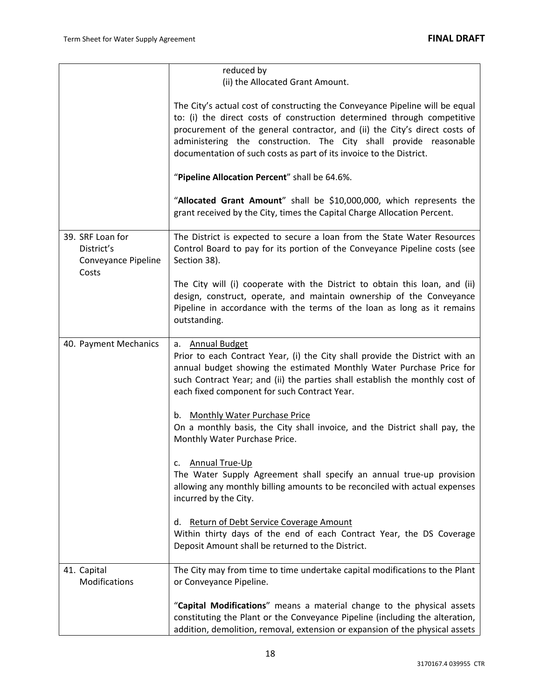|                                                                | reduced by<br>(ii) the Allocated Grant Amount.                                                                                                                                                                                                                                                                                                                                    |
|----------------------------------------------------------------|-----------------------------------------------------------------------------------------------------------------------------------------------------------------------------------------------------------------------------------------------------------------------------------------------------------------------------------------------------------------------------------|
|                                                                |                                                                                                                                                                                                                                                                                                                                                                                   |
|                                                                | The City's actual cost of constructing the Conveyance Pipeline will be equal<br>to: (i) the direct costs of construction determined through competitive<br>procurement of the general contractor, and (ii) the City's direct costs of<br>administering the construction. The City shall provide reasonable<br>documentation of such costs as part of its invoice to the District. |
|                                                                | "Pipeline Allocation Percent" shall be 64.6%.                                                                                                                                                                                                                                                                                                                                     |
|                                                                | "Allocated Grant Amount" shall be \$10,000,000, which represents the<br>grant received by the City, times the Capital Charge Allocation Percent.                                                                                                                                                                                                                                  |
| 39. SRF Loan for<br>District's<br>Conveyance Pipeline<br>Costs | The District is expected to secure a loan from the State Water Resources<br>Control Board to pay for its portion of the Conveyance Pipeline costs (see<br>Section 38).                                                                                                                                                                                                            |
|                                                                | The City will (i) cooperate with the District to obtain this loan, and (ii)<br>design, construct, operate, and maintain ownership of the Conveyance<br>Pipeline in accordance with the terms of the loan as long as it remains<br>outstanding.                                                                                                                                    |
| 40. Payment Mechanics                                          | a. Annual Budget<br>Prior to each Contract Year, (i) the City shall provide the District with an<br>annual budget showing the estimated Monthly Water Purchase Price for<br>such Contract Year; and (ii) the parties shall establish the monthly cost of<br>each fixed component for such Contract Year.                                                                          |
|                                                                | <b>Monthly Water Purchase Price</b><br>b.<br>On a monthly basis, the City shall invoice, and the District shall pay, the<br>Monthly Water Purchase Price.                                                                                                                                                                                                                         |
|                                                                | <b>Annual True-Up</b><br>The Water Supply Agreement shall specify an annual true-up provision<br>allowing any monthly billing amounts to be reconciled with actual expenses<br>incurred by the City.                                                                                                                                                                              |
|                                                                | <b>Return of Debt Service Coverage Amount</b><br>d.<br>Within thirty days of the end of each Contract Year, the DS Coverage<br>Deposit Amount shall be returned to the District.                                                                                                                                                                                                  |
| 41. Capital<br>Modifications                                   | The City may from time to time undertake capital modifications to the Plant<br>or Conveyance Pipeline.                                                                                                                                                                                                                                                                            |
|                                                                | "Capital Modifications" means a material change to the physical assets<br>constituting the Plant or the Conveyance Pipeline (including the alteration,<br>addition, demolition, removal, extension or expansion of the physical assets                                                                                                                                            |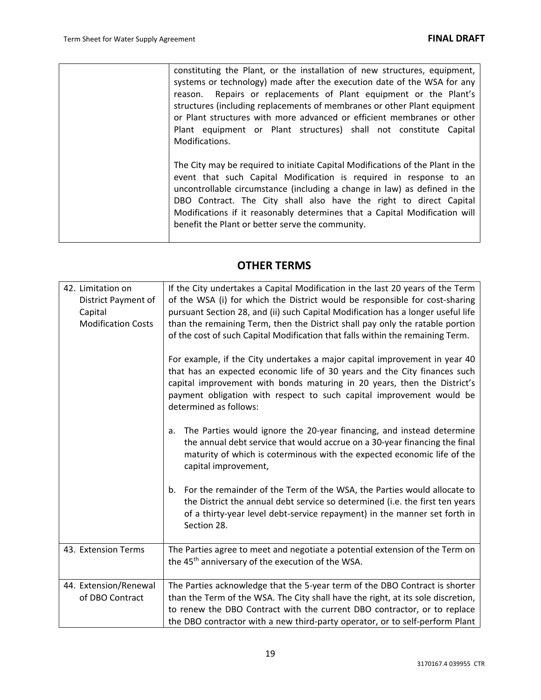| constituting the Plant, or the installation of new structures, equipment,<br>systems or technology) made after the execution date of the WSA for any<br>Repairs or replacements of Plant equipment or the Plant's<br>reason.<br>structures (including replacements of membranes or other Plant equipment<br>or Plant structures with more advanced or efficient membranes or other<br>Plant equipment or Plant structures) shall not constitute Capital<br>Modifications. |
|---------------------------------------------------------------------------------------------------------------------------------------------------------------------------------------------------------------------------------------------------------------------------------------------------------------------------------------------------------------------------------------------------------------------------------------------------------------------------|
| The City may be required to initiate Capital Modifications of the Plant in the<br>event that such Capital Modification is required in response to an<br>uncontrollable circumstance (including a change in law) as defined in the<br>DBO Contract. The City shall also have the right to direct Capital<br>Modifications if it reasonably determines that a Capital Modification will<br>benefit the Plant or better serve the community.                                 |

## **OTHER TERMS**

| 42. Limitation on<br>District Payment of<br>Capital<br><b>Modification Costs</b> | If the City undertakes a Capital Modification in the last 20 years of the Term<br>of the WSA (i) for which the District would be responsible for cost-sharing<br>pursuant Section 28, and (ii) such Capital Modification has a longer useful life<br>than the remaining Term, then the District shall pay only the ratable portion<br>of the cost of such Capital Modification that falls within the remaining Term. |
|----------------------------------------------------------------------------------|----------------------------------------------------------------------------------------------------------------------------------------------------------------------------------------------------------------------------------------------------------------------------------------------------------------------------------------------------------------------------------------------------------------------|
|                                                                                  | For example, if the City undertakes a major capital improvement in year 40<br>that has an expected economic life of 30 years and the City finances such<br>capital improvement with bonds maturing in 20 years, then the District's<br>payment obligation with respect to such capital improvement would be<br>determined as follows:                                                                                |
|                                                                                  | The Parties would ignore the 20-year financing, and instead determine<br>а.<br>the annual debt service that would accrue on a 30-year financing the final<br>maturity of which is coterminous with the expected economic life of the<br>capital improvement,                                                                                                                                                         |
|                                                                                  | For the remainder of the Term of the WSA, the Parties would allocate to<br>b.<br>the District the annual debt service so determined (i.e. the first ten years<br>of a thirty-year level debt-service repayment) in the manner set forth in<br>Section 28.                                                                                                                                                            |
| 43. Extension Terms                                                              | The Parties agree to meet and negotiate a potential extension of the Term on<br>the 45 <sup>th</sup> anniversary of the execution of the WSA.                                                                                                                                                                                                                                                                        |
| 44. Extension/Renewal<br>of DBO Contract                                         | The Parties acknowledge that the 5-year term of the DBO Contract is shorter<br>than the Term of the WSA. The City shall have the right, at its sole discretion,<br>to renew the DBO Contract with the current DBO contractor, or to replace<br>the DBO contractor with a new third-party operator, or to self-perform Plant                                                                                          |